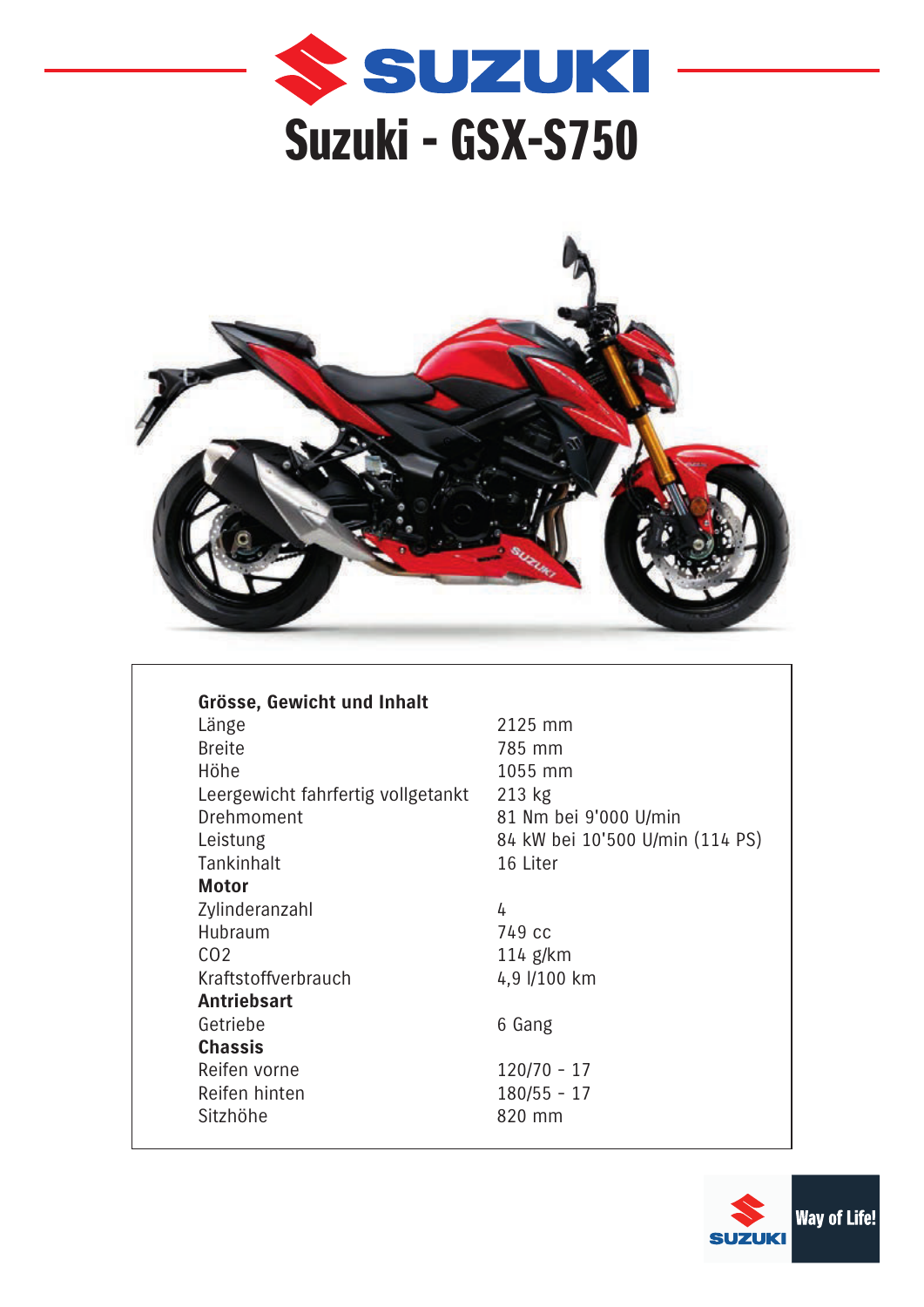



| Grösse, Gewicht und Inhalt         |                |
|------------------------------------|----------------|
| Länge                              | 2              |
| <b>Breite</b>                      | 7              |
| Höhe                               | 1              |
| Leergewicht fahrfertig vollgetankt | $\overline{2}$ |
| Drehmoment                         | 8              |
| Leistung                           | 8              |
| Tankinhalt                         | 1              |
| <b>Motor</b>                       |                |
| Zylinderanzahl                     | 4              |
| Hubraum                            |                |
| CO <sub>2</sub>                    | 1              |
| Kraftstoffverbrauch                | 4              |
| <b>Antriebsart</b>                 |                |
| Getriebe                           | 6              |
| <b>Chassis</b>                     |                |
| Reifen vorne                       | 1              |
| Reifen hinten                      | 1              |
| Sitzhöhe                           | 8              |

2125 mm 785 mm 1055 mm 213 kg 81 Nm bei 9'000 U/min 84 kW bei 10'500 U/min (114 PS) 16 Liter

749 cc 114 g/km 4,9 l/100 km

6 Gang

 $120/70 - 17$  $180/55 - 17$ 820 mm

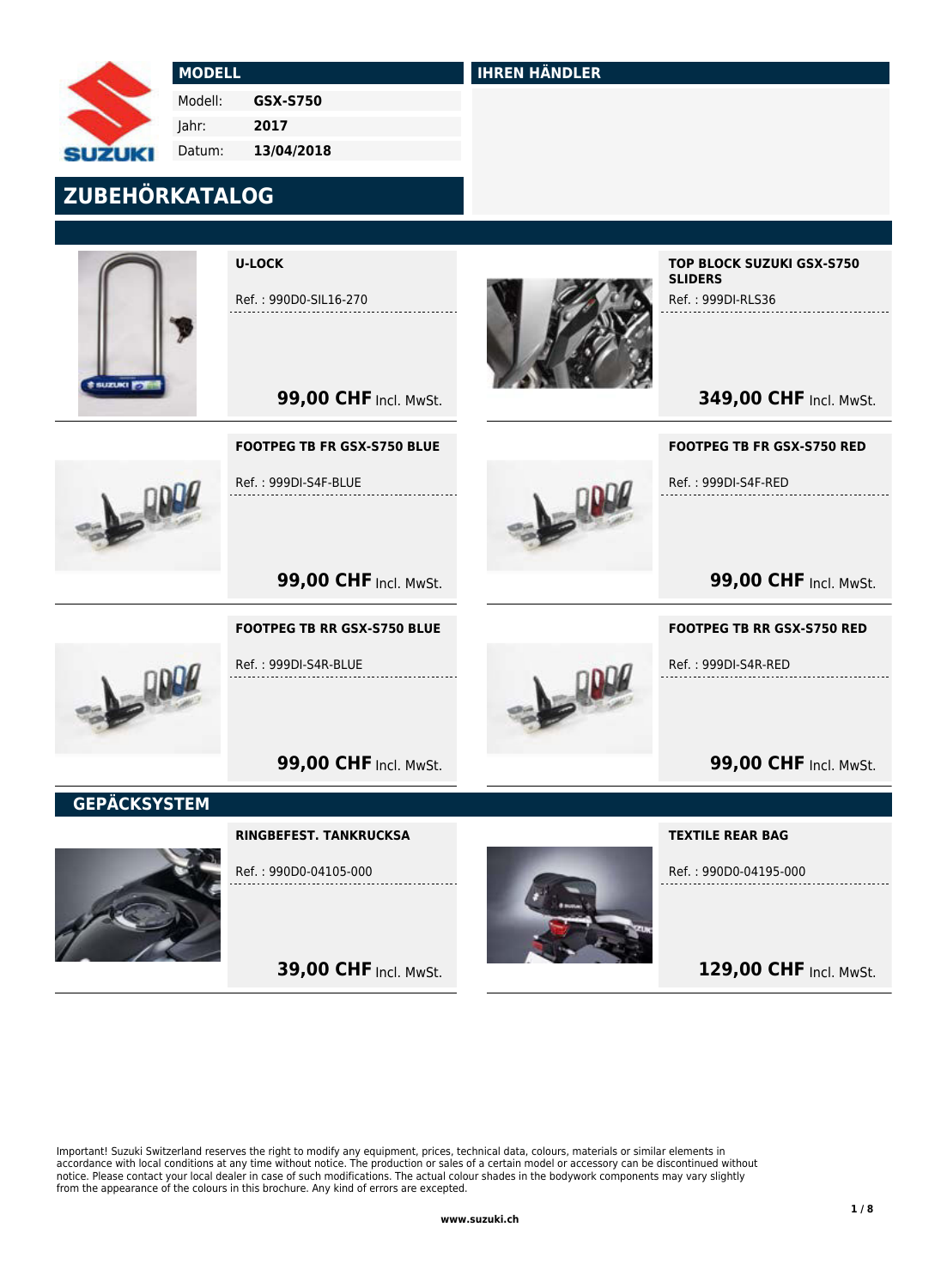MODELL Modell: Jahr: Datum: GSX-S750 2017 13/04/2018

## ZUBEHÖRKATALOG



U-LOCK

Ref. : 990D0-SIL16-270

IHREN HÄNDLER

TOP BLOCK SUZUKI GSX-S750 **SLIDERS** 

Ref. : 999DI-RLS36

**349,00 CHF Incl. MwSt.** 



# FOOTPEG TB FR GSX-S750 BLUE

**99,00 CHF Incl. MwSt.** 

**99,00 CHF Incl. MwSt.** 

**99,00 CHF Incl. MwSt.** 

Ref. : 999DI-S4F-BLUE

FOOTPEG TB RR GSX-S750 BLUE

Ref. : 999DI-S4R-BLUE



FOOTPEG TB FR GSX-S750 RED

Ref. : 999DI-S4F-RED

**99,00 CHF Incl. MwSt.** 

#### FOOTPEG TB RR GSX-S750 RED

Ref. : 999DI-S4R-RED

**99,00 CHF Incl. MwSt.** 

**GEPÄCKSYSTEM** 



RINGBEFEST. TANKRUCKSA

Ref. : 990D0-04105-000

**39,00 CHF Incl. MwSt.** 



TEXTILE REAR BAG

Ref. : 990D0-04195-000

129,00 CHF Incl. MwSt.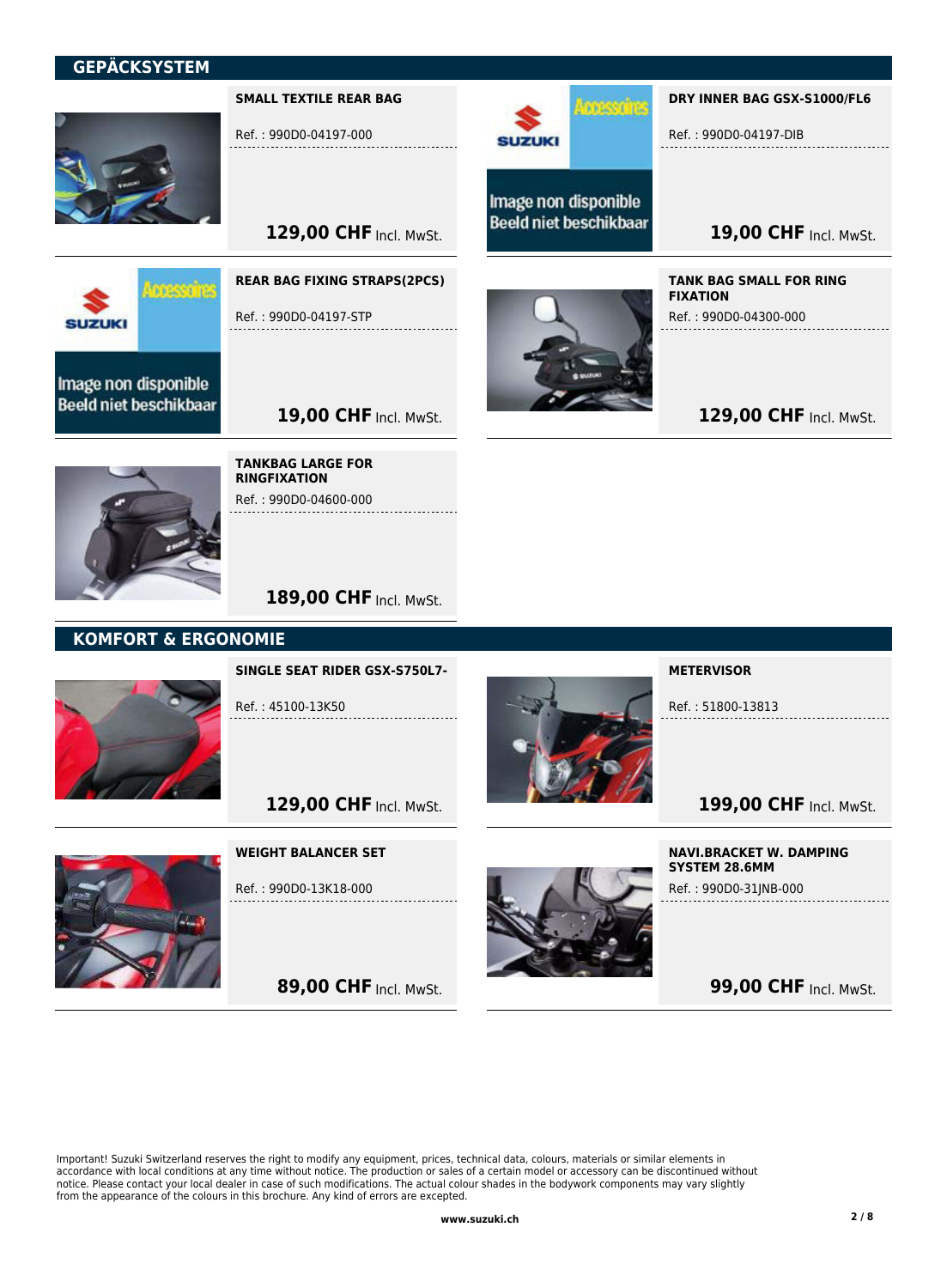## **GEPÄCKSYSTEM**



Ref. : 990D0-04197-000

SMALL TEXTILE REAR BAG

129,00 CHF Incl. MwSt.



Image non disponible **Beeld niet beschikbaar** 



REAR BAG FIXING STRAPS(2PCS)

Ref. : 990D0-04197-STP



Image non disponible **Beeld niet beschikbaar** 

**SUZUKI** 

<u>I mesafre</u>

DRY INNER BAG GSX-S1000/FL6

Ref. : 990D0-04197-DIB

19,00 CHF Incl. MwSt.

TANK BAG SMALL FOR RING FIXATION Ref. : 990D0-04300-000

129,00 CHF Incl. MwSt.



TANKBAG LARGE FOR RINGFIXATION

19,00 CHF Incl. MwSt.

Ref. : 990D0-04600-000

189,00 CHF Incl. MwSt.

## KOMFORT & ERGONOMIE



SINGLE SEAT RIDER GSX-S750L7-

Ref. : 45100-13K50



**METERVISOR** 

Ref. : 51800-13813

199,00 CHF Incl. MwSt.

### WEIGHT BALANCER SET

Ref. : 990D0-13K18-000

129,00 CHF Incl. MwSt.

89,00 CHF Incl. MwSt.



NAVI.BRACKET W. DAMPING SYSTEM 28.6MM Ref. : 990D0-31JNB-000

**99,00 CHF Incl. MwSt.**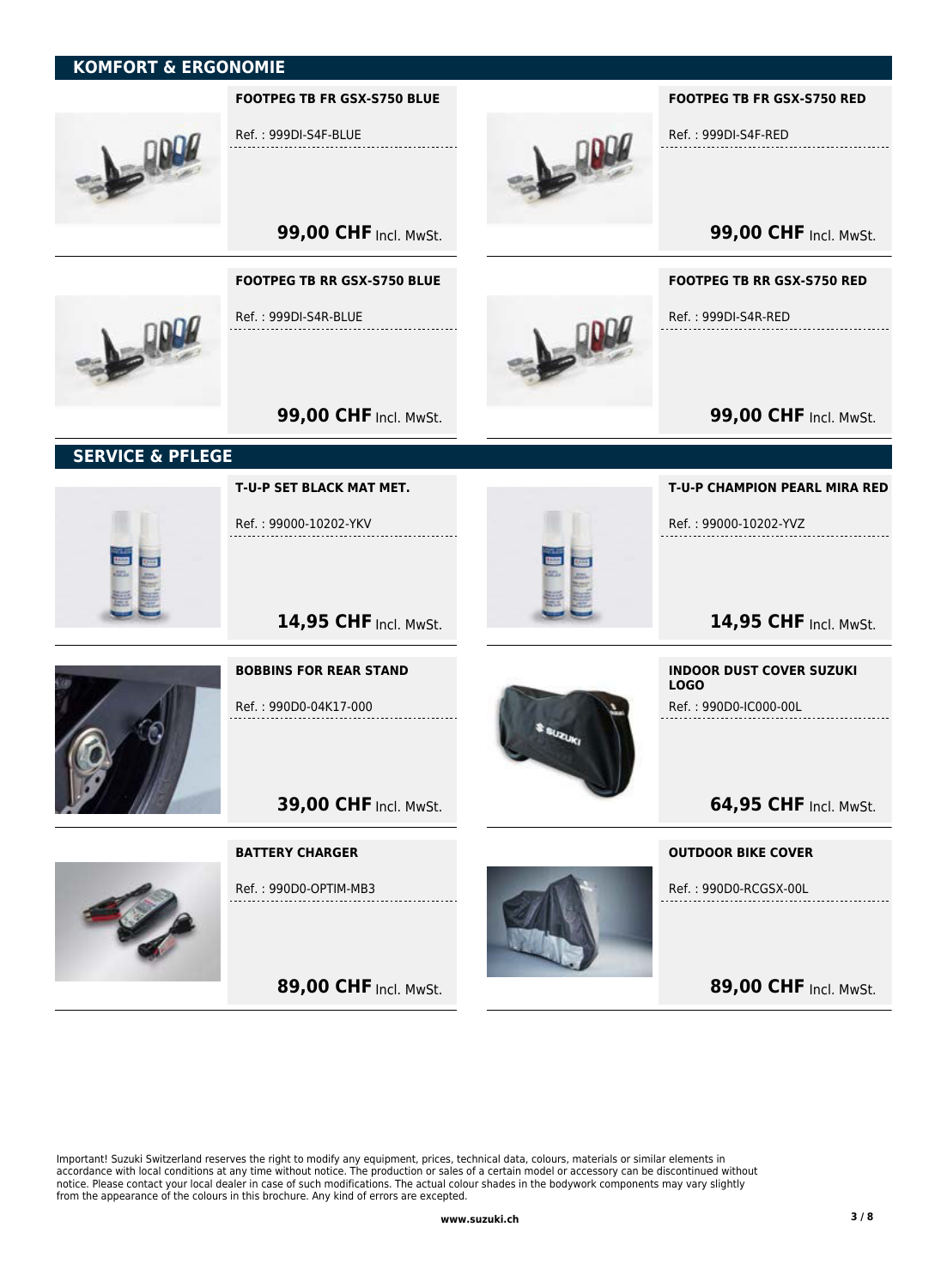## KOMFORT & ERGONOMIE



Important! Suzuki Switzerland reserves the right to modify any equipment, prices, technical data, colours, materials or similar elements in accordance with local conditions at any time without notice. The production or sales of a certain model or accessory can be discontinued without notice. Please contact your local dealer in case of such modifications. The actual colour shades in the bodywork components may vary slightly from the appearance of the colours in this brochure. Any kind of errors are excepted.

89,00 CHF Incl. MwSt.

89,00 CHF Incl. MwSt.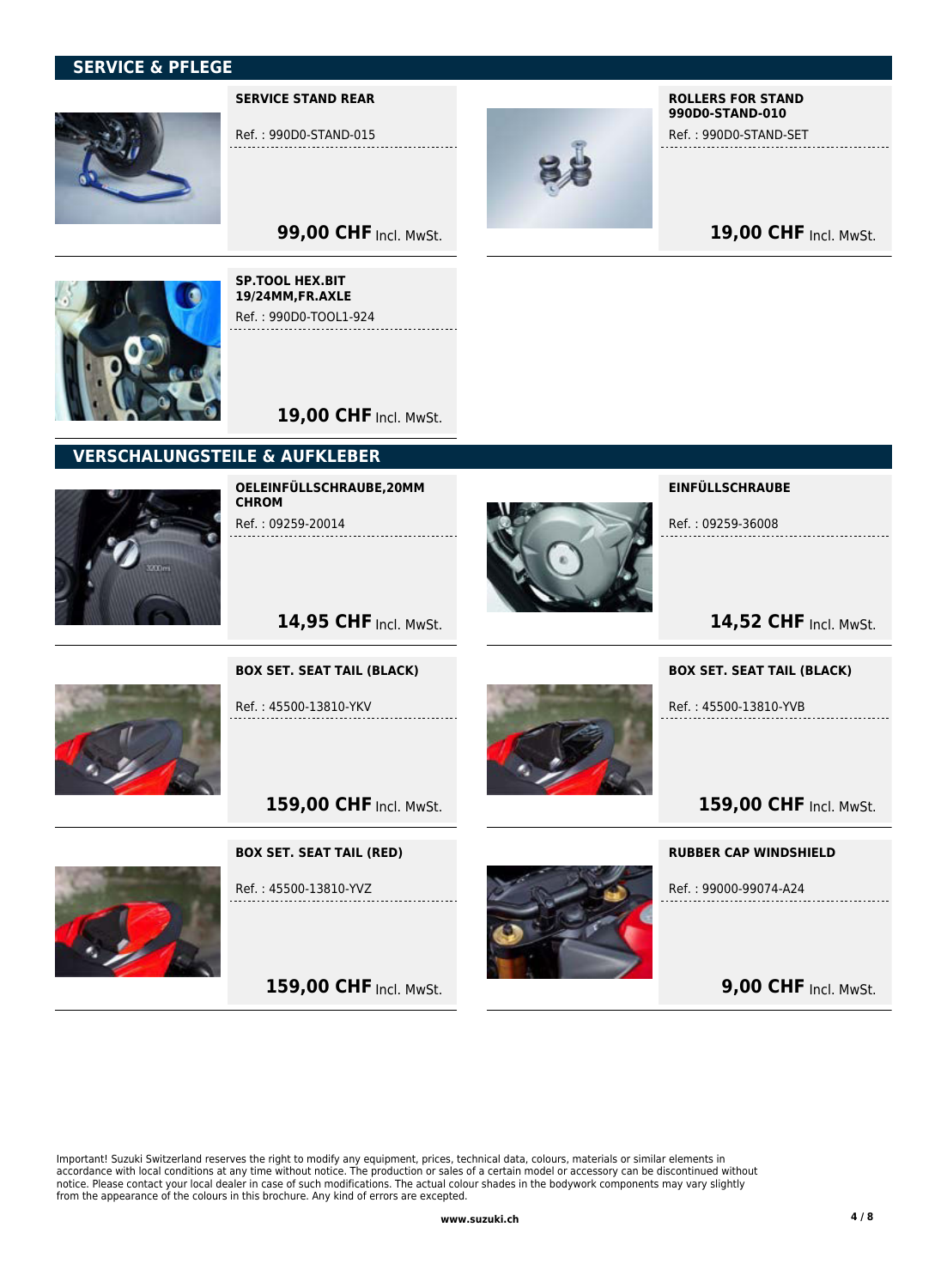## SERVICE & PFLEGE



SERVICE STAND REAR

SP.TOOL HEX.BIT 19/24MM,FR.AXLE Ref. : 990D0-TOOL1-924

Ref. : 990D0-STAND-015



ROLLERS FOR STAND 990D0-STAND-010

Ref. : 990D0-STAND-SET

19,00 CHF Incl. MwSt.

**99,00 CHF Incl. MwSt.** 



19,00 CHF Incl. MwSt. VERSCHALUNGSTEILE & AUFKLEBER



OELEINFÜLLSCHRAUBE,20MM **CHROM** Ref. : 09259-20014

BOX SET. SEAT TAIL (BLACK)

Ref. : 45500-13810-YKV



EINFÜLLSCHRAUBE

Ref. : 09259-36008

14,52 CHF Incl. MwSt.

BOX SET. SEAT TAIL (BLACK)

Ref. : 45500-13810-YVB

159,00 CHF Incl. MwSt.

159,00 CHF Incl. MwSt.

14,95 CHF Incl. MwSt.

#### BOX SET. SEAT TAIL (RED)

Ref. : 45500-13810-YVZ

159,00 CHF Incl. MwSt.



RUBBER CAP WINDSHIELD

Ref. : 99000-99074-A24

**9,00 CHF Incl. MwSt.**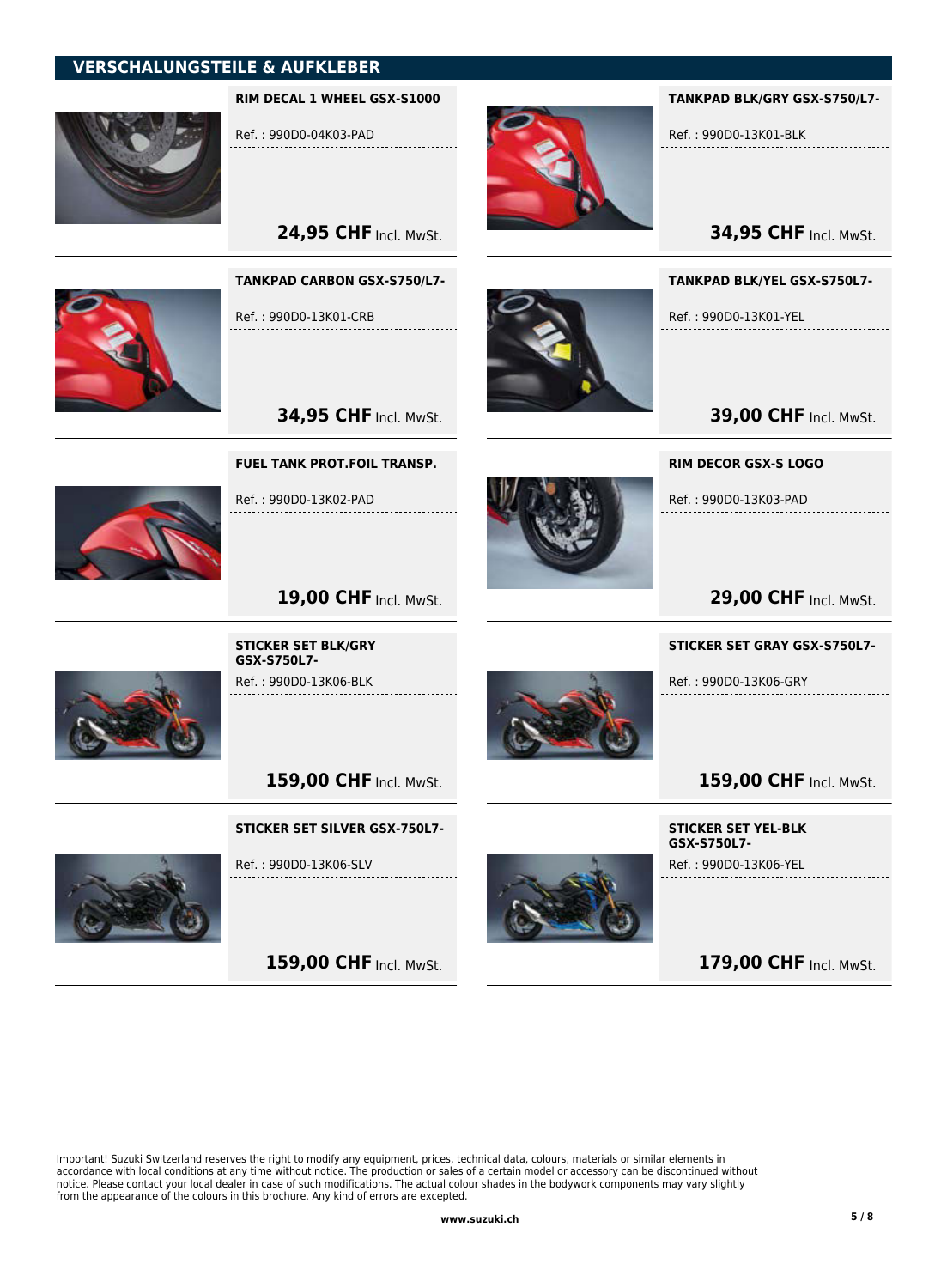## VERSCHALUNGSTEILE & AUFKLEBER



RIM DECAL 1 WHEEL GSX-S1000

24,95 CHF Incl. MwSt.

TANKPAD CARBON GSX-S750/L7-

Ref. : 990D0-04K03-PAD



TANKPAD BLK/GRY GSX-S750/L7-

Ref. : 990D0-13K01-BLK

**34,95 CHF Incl. MwSt.** 

TANKPAD BLK/YEL GSX-S750L7-

Ref. : 990D0-13K01-YEL

**39,00 CHF Incl. MwSt.** 

RIM DECOR GSX-S LOGO

Ref. : 990D0-13K03-PAD



**29,00 CHF Incl. MwSt.** 

#### STICKER SET GRAY GSX-S750L7-

Ref. : 990D0-13K06-GRY



STICKER SET YEL-BLK GSX-S750L7-

Ref. : 990D0-13K06-YEL

179,00 CHF Incl. MwSt.

Ref. : 990D0-13K01-CRB

**34,95 CHF Incl. MwSt.** 

. . . . . . . . . . .

FUEL TANK PROT.FOIL TRANSP.

Ref. : 990D0-13K02-PAD



19,00 CHF Incl. MwSt.



STICKER SET BLK/GRY GSX-S750L7- Ref. : 990D0-13K06-BLK

159,00 CHF Incl. MwSt.

STICKER SET SILVER GSX-750L7-



Ref. : 990D0-13K06-SLV

159,00 CHF Incl. MwSt.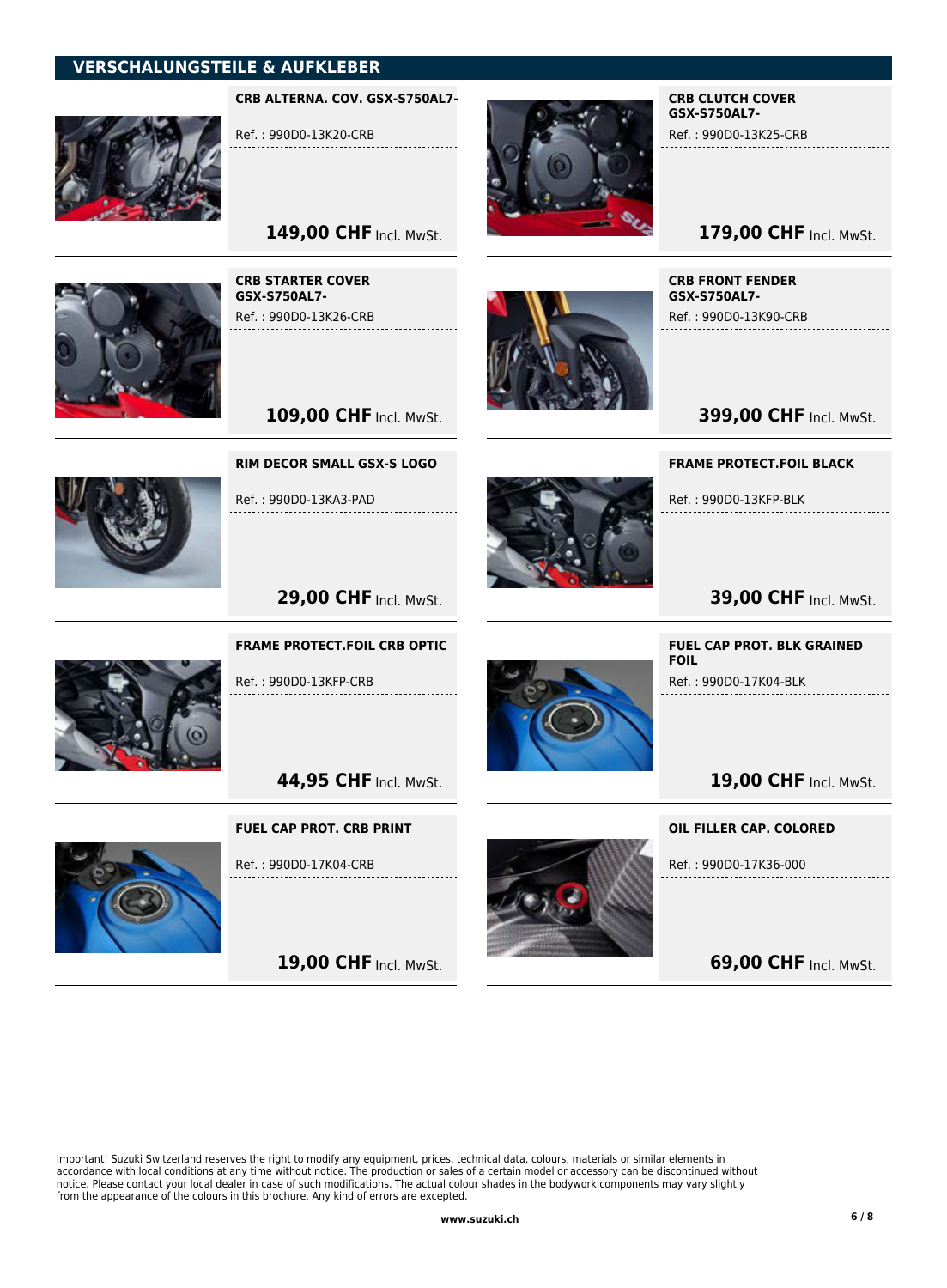## VERSCHALUNGSTEILE & AUFKLEBER



CRB ALTERNA. COV. GSX-S750AL7-

149,00 CHF Incl. MwSt.

109,00 CHF Incl. MwSt.

RIM DECOR SMALL GSX-S LOGO

Ref. : 990D0-13KA3-PAD

Ref. : 990D0-13K20-CRB



CRB CLUTCH COVER GSX-S750AL7- Ref. : 990D0-13K25-CRB

## 179,00 CHF Incl. MwSt.

CRB STARTER COVER GSX-S750AL7- Ref. : 990D0-13K26-CRB



CRB FRONT FENDER GSX-S750AL7-

Ref. : 990D0-13K90-CRB

**399,00 CHF Incl. MwSt.** 

FRAME PROTECT.FOIL BLACK

Ref. : 990D0-13KFP-BLK



**39,00 CHF Incl. MwSt.** 



**29,00 CHF Incl. MwSt.** 

FRAME PROTECT.FOIL CRB OPTIC

Ref. : 990D0-13KFP-CRB

44,95 CHF Incl. MwSt.

FUEL CAP PROT. CRB PRINT



Ref. : 990D0-17K04-CRB

19,00 CHF Incl. MwSt.



FUEL CAP PROT. BLK GRAINED FOIL

Ref. : 990D0-17K04-BLK

19,00 CHF Incl. MwSt.

OIL FILLER CAP. COLORED

Ref. : 990D0-17K36-000

**69,00 CHF Incl. MwSt.**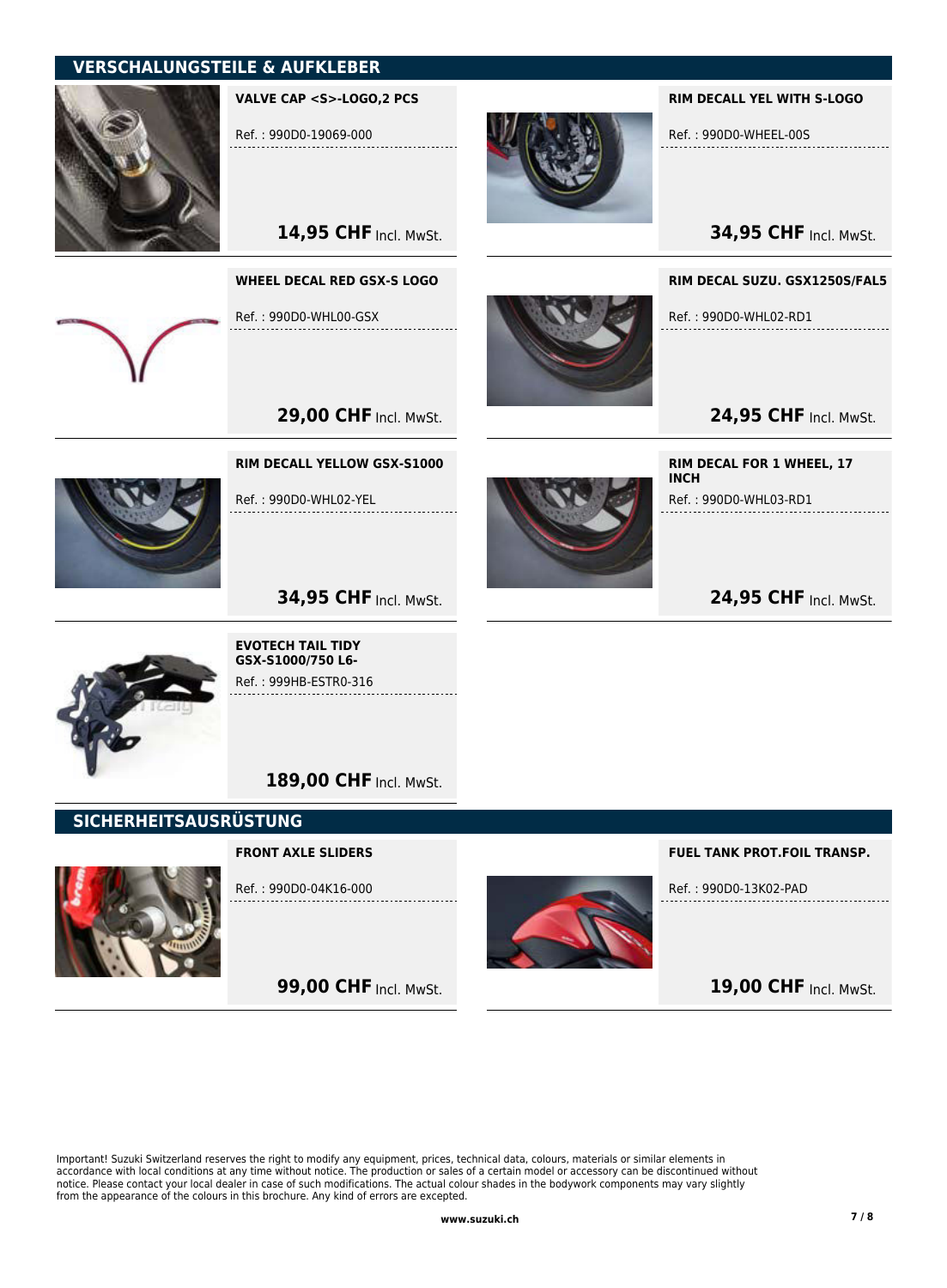## VERSCHALUNGSTEILE & AUFKLEBER



VALVE CAP <S>-LOGO,2 PCS

Ref. : 990D0-19069-000

14,95 CHF Incl. MwSt.

WHEEL DECAL RED GSX-S LOGO

Ref. : 990D0-WHL00-GSX



#### RIM DECALL YEL WITH S-LOGO

Ref. : 990D0-WHEEL-00S

**34,95 CHF Incl. MwSt.** 

RIM DECAL SUZU. GSX1250S/FAL5

Ref. : 990D0-WHL02-RD1

24,95 CHF Incl. MwSt.

24,95 CHF Incl. MwSt.

RIM DECAL FOR 1 WHEEL, 17

Ref. : 990D0-WHL03-RD1

**INCH** 



Ref. : 990D0-WHL02-YEL

RIM DECALL YELLOW GSX-S1000

**29,00 CHF Incl. MwSt.** 





EVOTECH TAIL TIDY GSX-S1000/750 L6- Ref. : 999HB-ESTR0-316

189,00 CHF Incl. MwSt.

## SICHERHEITSAUSRÜSTUNG

#### FRONT AXLE SLIDERS



Ref. : 990D0-04K16-000

**99,00 CHF Incl. MwSt.** 



FUEL TANK PROT.FOIL TRANSP.

Ref. : 990D0-13K02-PAD

19,00 CHF Incl. MwSt.